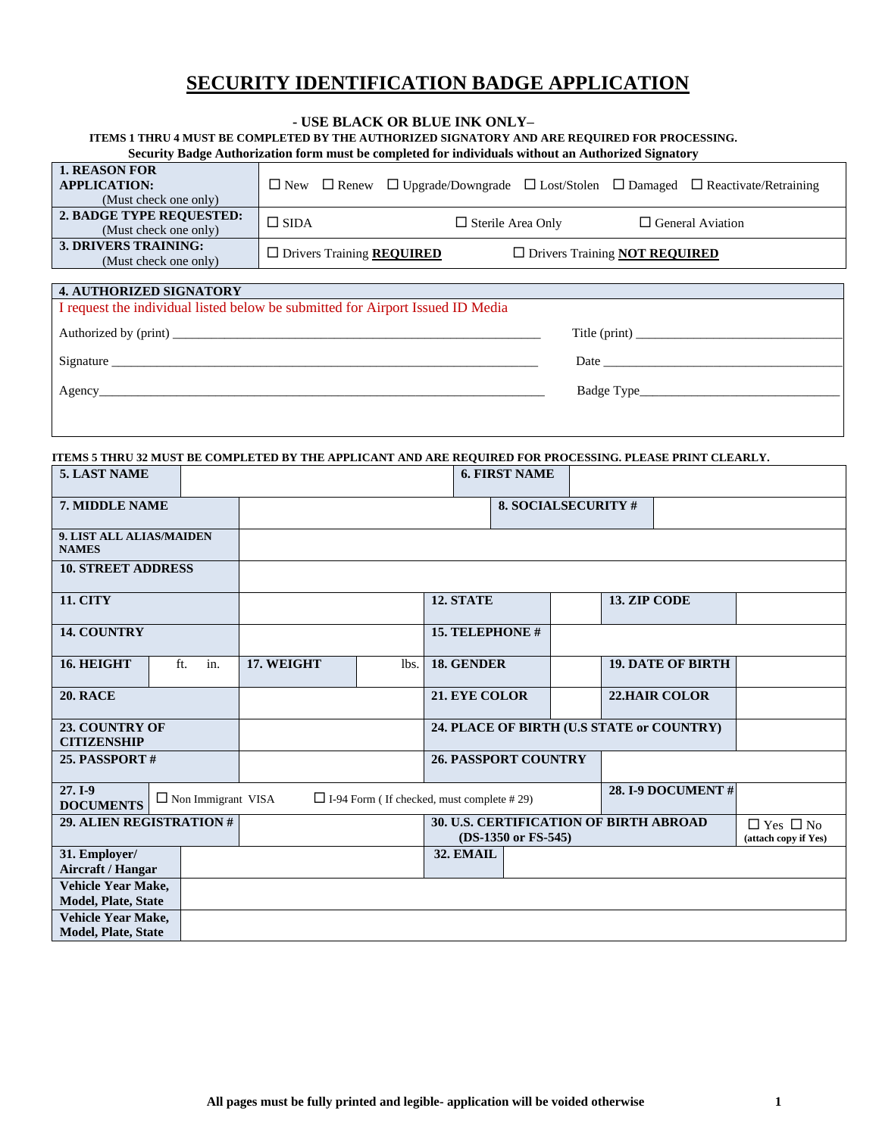## **SECURITY IDENTIFICATION BADGE APPLICATION**

#### **- USE BLACK OR BLUE INK ONLY–**

**ITEMS 1 THRU 4 MUST BE COMPLETED BY THE AUTHORIZED SIGNATORY AND ARE REQUIRED FOR PROCESSING.**

| <b>1. REASON FOR</b><br><b>APPLICATION:</b><br>(Must check one only) |                                         |                          |                                             | $\Box$ New $\Box$ Renew $\Box$ Upgrade/Downgrade $\Box$ Lost/Stolen $\Box$ Damaged $\Box$ Reactivate/Retraining |
|----------------------------------------------------------------------|-----------------------------------------|--------------------------|---------------------------------------------|-----------------------------------------------------------------------------------------------------------------|
| 2. BADGE TYPE REQUESTED:<br>(Must check one only)                    | $\Box$ SIDA                             | $\Box$ Sterile Area Only |                                             | $\Box$ General Aviation                                                                                         |
| 3. DRIVERS TRAINING:<br>(Must check one only)                        | $\Box$ Drivers Training <b>REQUIRED</b> |                          | $\Box$ Drivers Training <b>NOT REQUIRED</b> |                                                                                                                 |

| <b>4. AUTHORIZED SIGNATORY</b>                                                 |               |
|--------------------------------------------------------------------------------|---------------|
| I request the individual listed below be submitted for Airport Issued ID Media |               |
|                                                                                | Title (print) |
|                                                                                |               |
| Signature                                                                      |               |
|                                                                                |               |
|                                                                                |               |
|                                                                                |               |
|                                                                                |               |

**ITEMS 5 THRU 32 MUST BE COMPLETED BY THE APPLICANT AND ARE REQUIRED FOR PROCESSING. PLEASE PRINT CLEARLY.** 

| 5. LAST NAME                                                                                                                              |                          |            |                                                               |                                           | <b>6. FIRST NAME</b>       |                                              |  |                          |  |
|-------------------------------------------------------------------------------------------------------------------------------------------|--------------------------|------------|---------------------------------------------------------------|-------------------------------------------|----------------------------|----------------------------------------------|--|--------------------------|--|
| 7. MIDDLE NAME                                                                                                                            |                          |            |                                                               |                                           | <b>8. SOCIALSECURITY #</b> |                                              |  |                          |  |
| 9. LIST ALL ALIAS/MAIDEN<br><b>NAMES</b>                                                                                                  |                          |            |                                                               |                                           |                            |                                              |  |                          |  |
| <b>10. STREET ADDRESS</b>                                                                                                                 |                          |            |                                                               |                                           |                            |                                              |  |                          |  |
| <b>11. CITY</b>                                                                                                                           |                          |            | 12. STATE                                                     |                                           |                            | 13. ZIP CODE                                 |  |                          |  |
| 14. COUNTRY                                                                                                                               |                          |            |                                                               | 15. TELEPHONE #                           |                            |                                              |  |                          |  |
| 16. HEIGHT                                                                                                                                | ft.<br>in.               | 17. WEIGHT | lbs.                                                          | 18. GENDER                                |                            |                                              |  | <b>19. DATE OF BIRTH</b> |  |
| <b>20. RACE</b>                                                                                                                           |                          |            |                                                               | 21. EYE COLOR                             |                            |                                              |  | <b>22.HAIR COLOR</b>     |  |
| 23. COUNTRY OF<br><b>CITIZENSHIP</b>                                                                                                      |                          |            |                                                               | 24. PLACE OF BIRTH (U.S STATE or COUNTRY) |                            |                                              |  |                          |  |
| <b>25. PASSPORT #</b>                                                                                                                     |                          |            |                                                               | <b>26. PASSPORT COUNTRY</b>               |                            |                                              |  |                          |  |
| 27. I-9<br><b>28. I-9 DOCUMENT #</b><br>$\Box$ Non Immigrant VISA<br>$\Box$ I-94 Form (If checked, must complete #29)<br><b>DOCUMENTS</b> |                          |            |                                                               |                                           |                            |                                              |  |                          |  |
|                                                                                                                                           | 29. ALIEN REGISTRATION # |            | 30. U.S. CERTIFICATION OF BIRTH ABROAD<br>(DS-1350 or FS-545) |                                           |                            | $\Box$ Yes $\Box$ No<br>(attach copy if Yes) |  |                          |  |
| 31. Employer/<br>Aircraft / Hangar                                                                                                        |                          |            |                                                               | 32. EMAIL                                 |                            |                                              |  |                          |  |
| Vehicle Year Make,<br>Model, Plate, State                                                                                                 |                          |            |                                                               |                                           |                            |                                              |  |                          |  |
| <b>Vehicle Year Make,</b><br><b>Model, Plate, State</b>                                                                                   |                          |            |                                                               |                                           |                            |                                              |  |                          |  |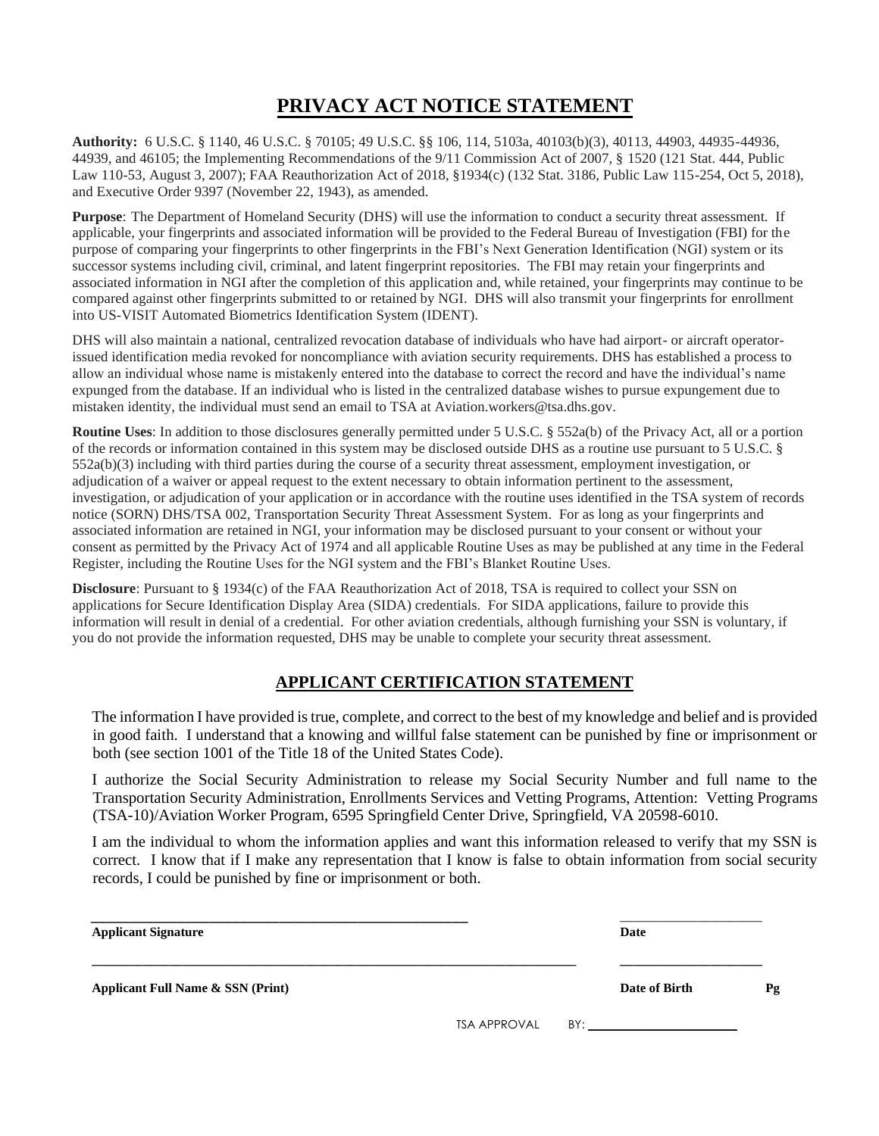# **PRIVACY ACT NOTICE STATEMENT**

**Authority:** 6 U.S.C. § 1140, 46 U.S.C. § 70105; 49 U.S.C. §§ 106, 114, 5103a, 40103(b)(3), 40113, 44903, 44935-44936, 44939, and 46105; the Implementing Recommendations of the 9/11 Commission Act of 2007, § 1520 (121 Stat. 444, Public Law 110-53, August 3, 2007); FAA Reauthorization Act of 2018, §1934(c) (132 Stat. 3186, Public Law 115-254, Oct 5, 2018), and Executive Order 9397 (November 22, 1943), as amended.

**Purpose**: The Department of Homeland Security (DHS) will use the information to conduct a security threat assessment. If applicable, your fingerprints and associated information will be provided to the Federal Bureau of Investigation (FBI) for the purpose of comparing your fingerprints to other fingerprints in the FBI's Next Generation Identification (NGI) system or its successor systems including civil, criminal, and latent fingerprint repositories. The FBI may retain your fingerprints and associated information in NGI after the completion of this application and, while retained, your fingerprints may continue to be compared against other fingerprints submitted to or retained by NGI. DHS will also transmit your fingerprints for enrollment into US-VISIT Automated Biometrics Identification System (IDENT).

DHS will also maintain a national, centralized revocation database of individuals who have had airport- or aircraft operatorissued identification media revoked for noncompliance with aviation security requirements. DHS has established a process to allow an individual whose name is mistakenly entered into the database to correct the record and have the individual's name expunged from the database. If an individual who is listed in the centralized database wishes to pursue expungement due to mistaken identity, the individual must send an email to TSA at Aviation.workers@tsa.dhs.gov.

**Routine Uses**: In addition to those disclosures generally permitted under 5 U.S.C. § 552a(b) of the Privacy Act, all or a portion of the records or information contained in this system may be disclosed outside DHS as a routine use pursuant to 5 U.S.C. § 552a(b)(3) including with third parties during the course of a security threat assessment, employment investigation, or adjudication of a waiver or appeal request to the extent necessary to obtain information pertinent to the assessment, investigation, or adjudication of your application or in accordance with the routine uses identified in the TSA system of records notice (SORN) DHS/TSA 002, Transportation Security Threat Assessment System. For as long as your fingerprints and associated information are retained in NGI, your information may be disclosed pursuant to your consent or without your consent as permitted by the Privacy Act of 1974 and all applicable Routine Uses as may be published at any time in the Federal Register, including the Routine Uses for the NGI system and the FBI's Blanket Routine Uses.

**Disclosure**: Pursuant to § 1934(c) of the FAA Reauthorization Act of 2018, TSA is required to collect your SSN on applications for Secure Identification Display Area (SIDA) credentials. For SIDA applications, failure to provide this information will result in denial of a credential. For other aviation credentials, although furnishing your SSN is voluntary, if you do not provide the information requested, DHS may be unable to complete your security threat assessment.

## **APPLICANT CERTIFICATION STATEMENT**

The information I have provided is true, complete, and correct to the best of my knowledge and belief and is provided in good faith. I understand that a knowing and willful false statement can be punished by fine or imprisonment or both (see section 1001 of the Title 18 of the United States Code).

I authorize the Social Security Administration to release my Social Security Number and full name to the Transportation Security Administration, Enrollments Services and Vetting Programs, Attention: Vetting Programs (TSA-10)/Aviation Worker Program, 6595 Springfield Center Drive, Springfield, VA 20598-6010.

I am the individual to whom the information applies and want this information released to verify that my SSN is correct. I know that if I make any representation that I know is false to obtain information from social security records, I could be punished by fine or imprisonment or both.

| <b>Applicant Signature</b>        | Date |                  |    |
|-----------------------------------|------|------------------|----|
| Applicant Full Name & SSN (Print) |      | Date of Birth    | Pg |
|                                   |      | TSA APPROVAL BY: |    |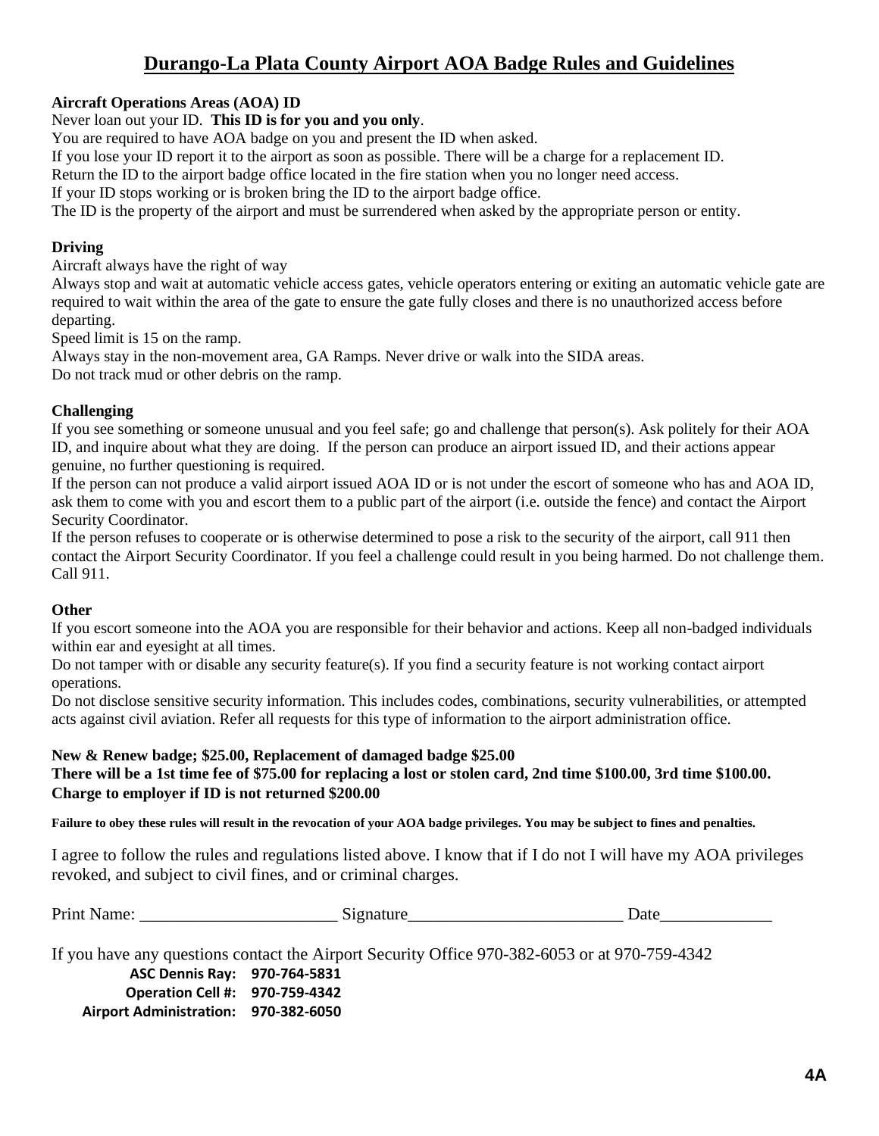## **Durango-La Plata County Airport AOA Badge Rules and Guidelines**

## **Aircraft Operations Areas (AOA) ID**

Never loan out your ID. **This ID is for you and you only**.

You are required to have AOA badge on you and present the ID when asked.

If you lose your ID report it to the airport as soon as possible. There will be a charge for a replacement ID.

Return the ID to the airport badge office located in the fire station when you no longer need access.

If your ID stops working or is broken bring the ID to the airport badge office.

The ID is the property of the airport and must be surrendered when asked by the appropriate person or entity.

### **Driving**

Aircraft always have the right of way

Always stop and wait at automatic vehicle access gates, vehicle operators entering or exiting an automatic vehicle gate are required to wait within the area of the gate to ensure the gate fully closes and there is no unauthorized access before departing.

Speed limit is 15 on the ramp.

Always stay in the non-movement area, GA Ramps. Never drive or walk into the SIDA areas. Do not track mud or other debris on the ramp.

#### **Challenging**

If you see something or someone unusual and you feel safe; go and challenge that person(s). Ask politely for their AOA ID, and inquire about what they are doing. If the person can produce an airport issued ID, and their actions appear genuine, no further questioning is required.

If the person can not produce a valid airport issued AOA ID or is not under the escort of someone who has and AOA ID, ask them to come with you and escort them to a public part of the airport (i.e. outside the fence) and contact the Airport Security Coordinator.

If the person refuses to cooperate or is otherwise determined to pose a risk to the security of the airport, call 911 then contact the Airport Security Coordinator. If you feel a challenge could result in you being harmed. Do not challenge them. Call 911.

## **Other**

If you escort someone into the AOA you are responsible for their behavior and actions. Keep all non-badged individuals within ear and eyesight at all times.

Do not tamper with or disable any security feature(s). If you find a security feature is not working contact airport operations.

Do not disclose sensitive security information. This includes codes, combinations, security vulnerabilities, or attempted acts against civil aviation. Refer all requests for this type of information to the airport administration office.

#### **New & Renew badge; \$25.00, Replacement of damaged badge \$25.00**

#### **There will be a 1st time fee of \$75.00 for replacing a lost or stolen card, 2nd time \$100.00, 3rd time \$100.00. Charge to employer if ID is not returned \$200.00**

**Failure to obey these rules will result in the revocation of your AOA badge privileges. You may be subject to fines and penalties.** 

I agree to follow the rules and regulations listed above. I know that if I do not I will have my AOA privileges revoked, and subject to civil fines, and or criminal charges.

| Print<br>. .<br>valile. | $-22240$<br>нанн<br>71 Y |  |
|-------------------------|--------------------------|--|
|-------------------------|--------------------------|--|

If you have any questions contact the Airport Security Office 970-382-6053 or at 970-759-4342

**ASC Dennis Ray: 970-764-5831 Operation Cell #: 970-759-4342 Airport Administration: 970-382-6050**